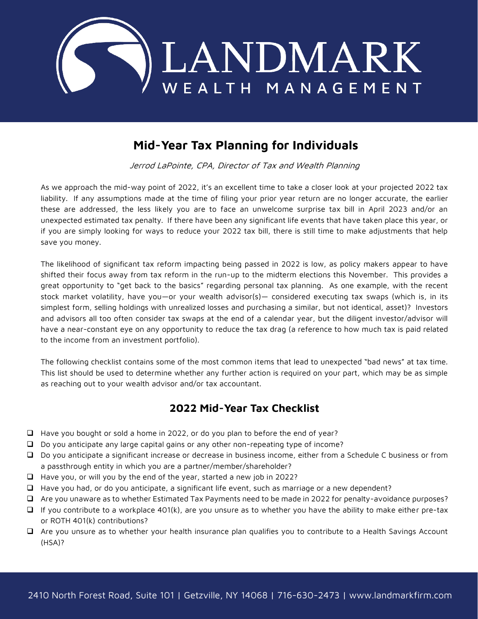

## **Mid-Year Tax Planning for Individuals**

Jerrod LaPointe, CPA, Director of Tax and Wealth Planning

As we approach the mid-way point of 2022, it's an excellent time to take a closer look at your projected 2022 tax liability. If any assumptions made at the time of filing your prior year return are no longer accurate, the earlier these are addressed, the less likely you are to face an unwelcome surprise tax bill in April 2023 and/or an unexpected estimated tax penalty. If there have been any significant life events that have taken place this year, or if you are simply looking for ways to reduce your 2022 tax bill, there is still time to make adjustments that help save you money.

The likelihood of significant tax reform impacting being passed in 2022 is low, as policy makers appear to have shifted their focus away from tax reform in the run-up to the midterm elections this November. This provides a great opportunity to "get back to the basics" regarding personal tax planning. As one example, with the recent stock market volatility, have you—or your wealth advisor(s)— considered executing tax swaps (which is, in its simplest form, selling holdings with unrealized losses and purchasing a similar, but not identical, asset)? Investors and advisors all too often consider tax swaps at the end of a calendar year, but the diligent investor/advisor will have a near-constant eye on any opportunity to reduce the tax drag (a reference to how much tax is paid related to the income from an investment portfolio).

The following checklist contains some of the most common items that lead to unexpected "bad news" at tax time. This list should be used to determine whether any further action is required on your part, which may be as simple as reaching out to your wealth advisor and/or tax accountant.

## **2022 Mid-Year Tax Checklist**

- ❑ Have you bought or sold a home in 2022, or do you plan to before the end of year?
- ❑ Do you anticipate any large capital gains or any other non-repeating type of income?
- ❑ Do you anticipate a significant increase or decrease in business income, either from a Schedule C business or from a passthrough entity in which you are a partner/member/shareholder?
- ❑ Have you, or will you by the end of the year, started a new job in 2022?
- ❑ Have you had, or do you anticipate, a significant life event, such as marriage or a new dependent?
- ❑ Are you unaware as to whether Estimated Tax Payments need to be made in 2022 for penalty-avoidance purposes?
- ❑ If you contribute to a workplace 401(k), are you unsure as to whether you have the ability to make either pre-tax or ROTH 401(k) contributions?
- ❑ Are you unsure as to whether your health insurance plan qualifies you to contribute to a Health Savings Account (HSA)?